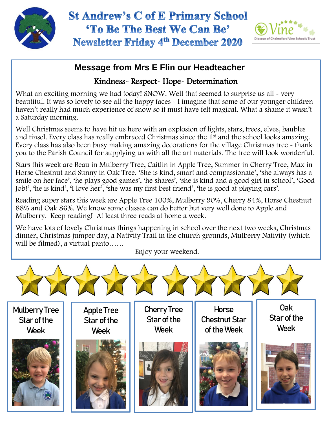

## **St Andrew's C of E Primary School** 'To Be The Best We Can Be' **Newsletter Friday 4th December 2020**



### **Message from Mrs E Flin our Headteacher**

### Kindness- Respect- Hope- Determination

What an exciting morning we had today! SNOW. Well that seemed to surprise us all - very beautiful. It was so lovely to see all the happy faces - I imagine that some of our younger children haven't really had much experience of snow so it must have felt magical. What a shame it wasn't a Saturday morning.

Well Christmas seems to have hit us here with an explosion of lights, stars, trees, elves, baubles and tinsel. Every class has really embraced Christmas since the 1<sup>st</sup> and the school looks amazing. Every class has also been busy making amazing decorations for the village Christmas tree - thank you to the Parish Council for supplying us with all the art materials. The tree will look wonderful.

Stars this week are Beau in Mulberry Tree, Caitlin in Apple Tree, Summer in Cherry Tree, Max in Horse Chestnut and Sunny in Oak Tree. 'She is kind, smart and compassionate', 'she always has a smile on her face', 'he plays good games', 'he shares', 'she is kind and a good girl in school', 'Good Job!', 'he is kind', 'I love her', 'she was my first best friend', 'he is good at playing cars'.

 Reading super stars this week are Apple Tree 100%, Mulberry 90%, Cherry 84%, Horse Chestnut 88% and Oak 86%. We know some classes can do better but very well done to Apple and Mulberry. Keep reading! At least three reads at home a week.

We have lots of lovely Christmas things happening in school over the next two weeks, Christmas dinner, Christmas jumper day, a Nativity Trail in the church grounds, Mulberry Nativity (which will be filmed), a virtual panto……

Enjoy your weekend.